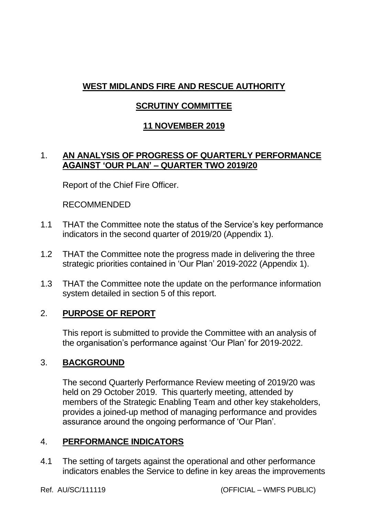# **WEST MIDLANDS FIRE AND RESCUE AUTHORITY**

## **SCRUTINY COMMITTEE**

## **11 NOVEMBER 2019**

### 1. **AN ANALYSIS OF PROGRESS OF QUARTERLY PERFORMANCE AGAINST 'OUR PLAN' – QUARTER TWO 2019/20**

Report of the Chief Fire Officer.

#### RECOMMENDED

- 1.1 THAT the Committee note the status of the Service's key performance indicators in the second quarter of 2019/20 (Appendix 1).
- 1.2 THAT the Committee note the progress made in delivering the three strategic priorities contained in 'Our Plan' 2019-2022 (Appendix 1).
- 1.3 THAT the Committee note the update on the performance information system detailed in section 5 of this report.

## 2. **PURPOSE OF REPORT**

This report is submitted to provide the Committee with an analysis of the organisation's performance against 'Our Plan' for 2019-2022.

### 3. **BACKGROUND**

The second Quarterly Performance Review meeting of 2019/20 was held on 29 October 2019. This quarterly meeting, attended by members of the Strategic Enabling Team and other key stakeholders, provides a joined-up method of managing performance and provides assurance around the ongoing performance of 'Our Plan'.

### 4. **PERFORMANCE INDICATORS**

4.1 The setting of targets against the operational and other performance indicators enables the Service to define in key areas the improvements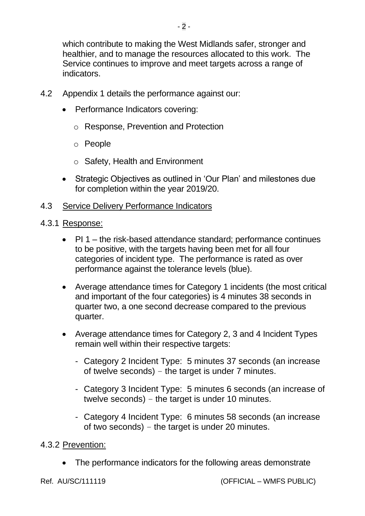which contribute to making the West Midlands safer, stronger and healthier, and to manage the resources allocated to this work. The Service continues to improve and meet targets across a range of indicators.

- 4.2 Appendix 1 details the performance against our:
	- Performance Indicators covering:
		- o Response, Prevention and Protection
		- o People
		- o Safety, Health and Environment
	- Strategic Objectives as outlined in 'Our Plan' and milestones due for completion within the year 2019/20.
- 4.3 Service Delivery Performance Indicators
- 4.3.1 Response:
	- PI 1 the risk-based attendance standard; performance continues to be positive, with the targets having been met for all four categories of incident type. The performance is rated as over performance against the tolerance levels (blue).
	- Average attendance times for Category 1 incidents (the most critical and important of the four categories) is 4 minutes 38 seconds in quarter two, a one second decrease compared to the previous quarter.
	- Average attendance times for Category 2, 3 and 4 Incident Types remain well within their respective targets:
		- Category 2 Incident Type: 5 minutes 37 seconds (an increase of twelve seconds) – the target is under 7 minutes.
		- Category 3 Incident Type: 5 minutes 6 seconds (an increase of twelve seconds) – the target is under 10 minutes.
		- Category 4 Incident Type: 6 minutes 58 seconds (an increase of two seconds) – the target is under 20 minutes.

4.3.2 Prevention:

The performance indicators for the following areas demonstrate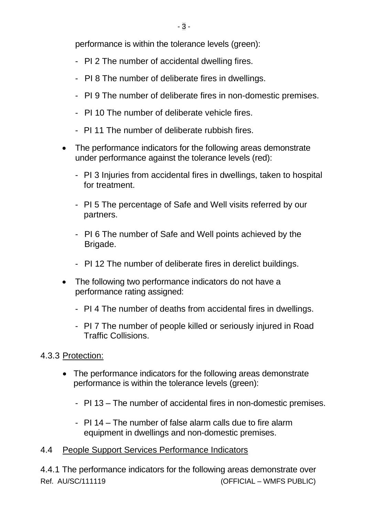performance is within the tolerance levels (green):

- PI 2 The number of accidental dwelling fires.
- PI 8 The number of deliberate fires in dwellings.
- PI 9 The number of deliberate fires in non-domestic premises.
- PI 10 The number of deliberate vehicle fires.
- PI 11 The number of deliberate rubbish fires.
- The performance indicators for the following areas demonstrate under performance against the tolerance levels (red):
	- PI 3 Injuries from accidental fires in dwellings, taken to hospital for treatment.
	- PI 5 The percentage of Safe and Well visits referred by our partners.
	- PI 6 The number of Safe and Well points achieved by the Brigade.
	- PI 12 The number of deliberate fires in derelict buildings.
- The following two performance indicators do not have a performance rating assigned:
	- PI 4 The number of deaths from accidental fires in dwellings.
	- PI 7 The number of people killed or seriously injured in Road Traffic Collisions.
- 4.3.3 Protection:
	- The performance indicators for the following areas demonstrate performance is within the tolerance levels (green):
		- PI 13 The number of accidental fires in non-domestic premises.
		- PI 14 The number of false alarm calls due to fire alarm equipment in dwellings and non-domestic premises.
- 4.4 People Support Services Performance Indicators

Ref. AU/SC/111119 (OFFICIAL – WMFS PUBLIC) 4.4.1 The performance indicators for the following areas demonstrate over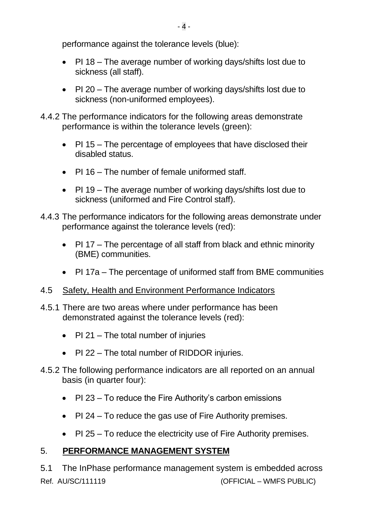performance against the tolerance levels (blue):

- PI 18 The average number of working days/shifts lost due to sickness (all staff).
- PI 20 The average number of working days/shifts lost due to sickness (non-uniformed employees).
- 4.4.2 The performance indicators for the following areas demonstrate performance is within the tolerance levels (green):
	- PI 15 The percentage of employees that have disclosed their disabled status.
	- PI 16 The number of female uniformed staff
	- PI 19 The average number of working days/shifts lost due to sickness (uniformed and Fire Control staff).
- 4.4.3 The performance indicators for the following areas demonstrate under performance against the tolerance levels (red):
	- PI 17 The percentage of all staff from black and ethnic minority (BME) communities.
	- PI 17a The percentage of uniformed staff from BME communities
- 4.5 Safety, Health and Environment Performance Indicators
- 4.5.1 There are two areas where under performance has been demonstrated against the tolerance levels (red):
	- PI 21 The total number of injuries
	- PI 22 The total number of RIDDOR injuries.
- 4.5.2 The following performance indicators are all reported on an annual basis (in quarter four):
	- PI 23 To reduce the Fire Authority's carbon emissions
	- PI 24 To reduce the gas use of Fire Authority premises.
	- PI 25 To reduce the electricity use of Fire Authority premises.

# 5. **PERFORMANCE MANAGEMENT SYSTEM**

Ref. AU/SC/111119 (OFFICIAL – WMFS PUBLIC) 5.1 The InPhase performance management system is embedded across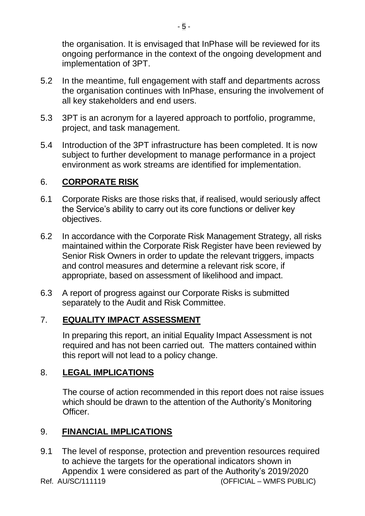the organisation. It is envisaged that InPhase will be reviewed for its ongoing performance in the context of the ongoing development and implementation of 3PT.

- 5.2 In the meantime, full engagement with staff and departments across the organisation continues with InPhase, ensuring the involvement of all key stakeholders and end users.
- 5.3 3PT is an acronym for a layered approach to portfolio, programme, project, and task management.
- 5.4 Introduction of the 3PT infrastructure has been completed. It is now subject to further development to manage performance in a project environment as work streams are identified for implementation.

## 6. **CORPORATE RISK**

- 6.1 Corporate Risks are those risks that, if realised, would seriously affect the Service's ability to carry out its core functions or deliver key objectives.
- 6.2 In accordance with the Corporate Risk Management Strategy, all risks maintained within the Corporate Risk Register have been reviewed by Senior Risk Owners in order to update the relevant triggers, impacts and control measures and determine a relevant risk score, if appropriate, based on assessment of likelihood and impact.
- 6.3 A report of progress against our Corporate Risks is submitted separately to the Audit and Risk Committee.

## 7. **EQUALITY IMPACT ASSESSMENT**

In preparing this report, an initial Equality Impact Assessment is not required and has not been carried out. The matters contained within this report will not lead to a policy change.

## 8. **LEGAL IMPLICATIONS**

The course of action recommended in this report does not raise issues which should be drawn to the attention of the Authority's Monitoring Officer.

## 9. **FINANCIAL IMPLICATIONS**

9.1 The level of response, protection and prevention resources required to achieve the targets for the operational indicators shown in Appendix 1 were considered as part of the Authority's 2019/2020

Ref. AU/SC/111119 (OFFICIAL – WMFS PUBLIC)